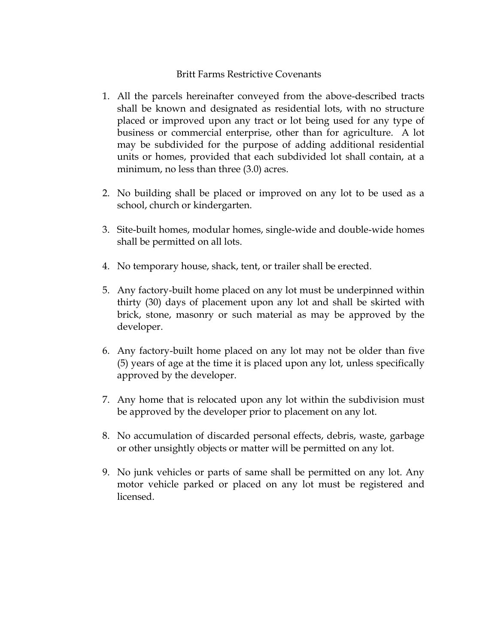## Britt Farms Restrictive Covenants

- 1. All the parcels hereinafter conveyed from the above-described tracts shall be known and designated as residential lots, with no structure placed or improved upon any tract or lot being used for any type of business or commercial enterprise, other than for agriculture. A lot may be subdivided for the purpose of adding additional residential units or homes, provided that each subdivided lot shall contain, at a minimum, no less than three (3.0) acres.
- 2. No building shall be placed or improved on any lot to be used as a school, church or kindergarten.
- 3. Site-built homes, modular homes, single-wide and double-wide homes shall be permitted on all lots.
- 4. No temporary house, shack, tent, or trailer shall be erected.
- 5. Any factory-built home placed on any lot must be underpinned within thirty (30) days of placement upon any lot and shall be skirted with brick, stone, masonry or such material as may be approved by the developer.
- 6. Any factory-built home placed on any lot may not be older than five (5) years of age at the time it is placed upon any lot, unless specifically approved by the developer.
- 7. Any home that is relocated upon any lot within the subdivision must be approved by the developer prior to placement on any lot.
- 8. No accumulation of discarded personal effects, debris, waste, garbage or other unsightly objects or matter will be permitted on any lot.
- 9. No junk vehicles or parts of same shall be permitted on any lot. Any motor vehicle parked or placed on any lot must be registered and licensed.